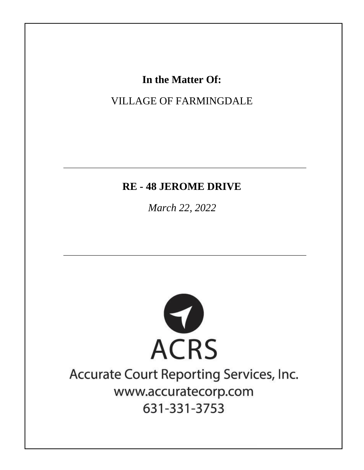## In the Matter Of:

## **VILLAGE OF FARMINGDALE**

### **RE-48 JEROME DRIVE**

March 22, 2022



# Accurate Court Reporting Services, Inc. www.accuratecorp.com 631-331-3753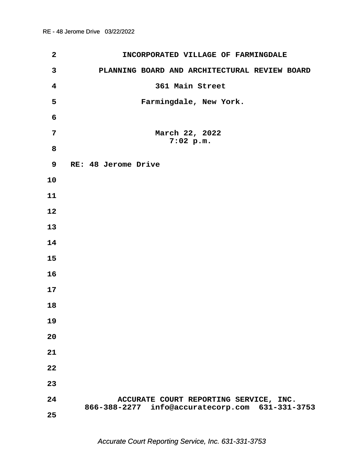| $\mathbf{2}$            | INCORPORATED VILLAGE OF FARMINGDALE                                                       |
|-------------------------|-------------------------------------------------------------------------------------------|
| $\mathbf{3}$            | PLANNING BOARD AND ARCHITECTURAL REVIEW BOARD                                             |
| $\overline{\mathbf{4}}$ | 361 Main Street                                                                           |
| 5                       | Farmingdale, New York.                                                                    |
| 6                       |                                                                                           |
| 7                       | March 22, 2022<br>$7:02$ p.m.                                                             |
| 8                       |                                                                                           |
| 9                       | RE: 48 Jerome Drive                                                                       |
| 10                      |                                                                                           |
| 11                      |                                                                                           |
| 12                      |                                                                                           |
| 13                      |                                                                                           |
| 14                      |                                                                                           |
| 15                      |                                                                                           |
| 16                      |                                                                                           |
| 17                      |                                                                                           |
| 18                      |                                                                                           |
| 19                      |                                                                                           |
| 20                      |                                                                                           |
| 21                      |                                                                                           |
| 22                      |                                                                                           |
| 23                      |                                                                                           |
| 24                      | ACCURATE COURT REPORTING SERVICE, INC.<br>866-388-2277 info@accuratecorp.com 631-331-3753 |
| 25                      |                                                                                           |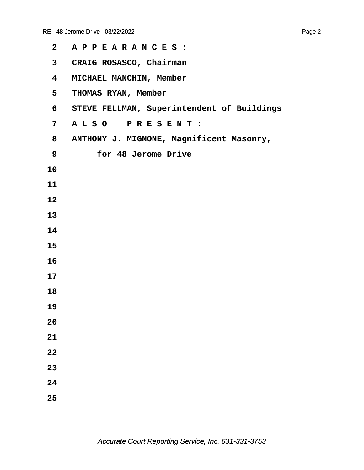| $\mathbf{2}$            | APPEARANCES:                               |
|-------------------------|--------------------------------------------|
| $\mathbf{3}$            | CRAIG ROSASCO, Chairman                    |
| $\overline{\mathbf{4}}$ | MICHAEL MANCHIN, Member                    |
| 5 <sub>1</sub>          | THOMAS RYAN, Member                        |
| 6                       | STEVE FELLMAN, Superintendent of Buildings |
| 7                       | ALSO PRESENT:                              |
| 8                       | ANTHONY J. MIGNONE, Magnificent Masonry,   |
| 9                       | for 48 Jerome Drive                        |
| 10                      |                                            |
| 11                      |                                            |
| 12                      |                                            |
| 13                      |                                            |
| 14                      |                                            |
| 15                      |                                            |
| 16                      |                                            |
| 17                      |                                            |
| 18                      |                                            |
| 19                      |                                            |
| 20                      |                                            |
| 21                      |                                            |
| 22                      |                                            |
| 23                      |                                            |
| 24                      |                                            |
| 25                      |                                            |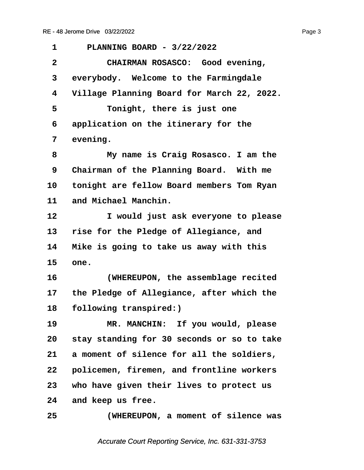<span id="page-3-0"></span>

| 1            | PLANNING BOARD - 3/22/2022                 |
|--------------|--------------------------------------------|
| $\mathbf{2}$ | CHAIRMAN ROSASCO: Good evening,            |
| 3            | everybody. Welcome to the Farmingdale      |
| 4            | Village Planning Board for March 22, 2022. |
| 5            | Tonight, there is just one                 |
| 6            | application on the itinerary for the       |
| 7            | evening.                                   |
| 8            | My name is Craig Rosasco. I am the         |
| 9            | Chairman of the Planning Board. With me    |
| 10           | tonight are fellow Board members Tom Ryan  |
| 11           | and Michael Manchin.                       |
| 12           | I would just ask everyone to please        |
| 13           | rise for the Pledge of Allegiance, and     |
| 14           | Mike is going to take us away with this    |
| 15           | one.                                       |
| 16           | (WHEREUPON, the assemblage recited         |
| 17           | the Pledge of Allegiance, after which the  |
| 18           | following transpired:)                     |
| 19           | MR. MANCHIN: If you would, please          |
| 20           | stay standing for 30 seconds or so to take |
| 21           | a moment of silence for all the soldiers,  |
| 22           | policemen, firemen, and frontline workers  |
| 23           | who have given their lives to protect us   |
| 24           | and keep us free.                          |
| 25           | (WHEREUPON, a moment of silence was        |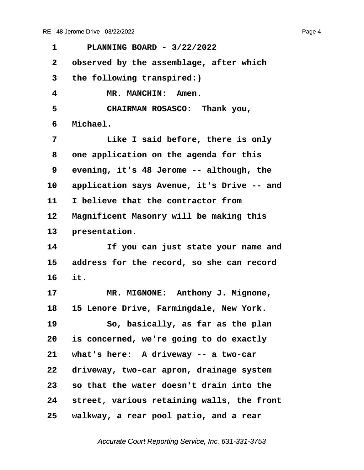<span id="page-4-0"></span>**·1· · · PLANNING BOARD - 3/22/2022 ·2· ·observed by the assemblage, after which ·3· ·the following transpired:)** 4 **MR. MANCHIN: Amen. ·5· · · · · CHAIRMAN ROSASCO:· Thank you, ·6· ·Michael. ·7· · · · · Like I said before, there is only ·8· ·one application on the agenda for this ·9· ·evening, it's 48 Jerome -- although, the** 10 application says Avenue, it's Drive -- and 11 I believe that the contractor from 12 Magnificent Masonry will be making this 13 **presentation. 14· · · · · If you can just state your name and 15· ·address for the record, so she can record 16· ·it.** 17 MR. MIGNONE: Anthony J. Mignone, **18· ·15 Lenore Drive, Farmingdale, New York. 19· · · · · So, basically, as far as the plan 20· ·is concerned, we're going to do exactly** 21 what's here: A driveway -- a two-car 22 driveway, two-car apron, drainage system **23· ·so that the water doesn't drain into the 24· ·street, various retaining walls, the front 25· ·walkway, a rear pool patio, and a rear**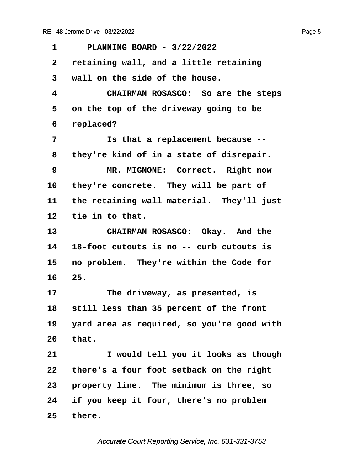<span id="page-5-0"></span>**·1· · · PLANNING BOARD - 3/22/2022 ·2· ·retaining wall, and a little retaining ·3· ·wall on the side of the house. ·4· · · · · CHAIRMAN ROSASCO:· So are the steps ·5· ·on the top of the driveway going to be ·6· ·replaced? ·7· · · · · Is that a replacement because -- ·8· ·they're kind of in a state of disrepair. ·9· · · · · MR. MIGNONE:· Correct.· Right now** 10 they're concrete. They will be part of 11 the retaining wall material. They'll just 12 tie in to that. 13 **CHAIRMAN ROSASCO:** Okay. And the **14· ·18-foot cutouts is no -- curb cutouts is 15· ·no problem.· They're within the Code for 16· ·25.** 17 **• The driveway, as presented, is** 18 still less than 35 percent of the front **19· ·yard area as required, so you're good with 20· ·that. 21· · · · · I would tell you it looks as though 22· ·there's a four foot setback on the right** 23 **property line.** The minimum is three, so **24· ·if you keep it four, there's no problem** 25 there.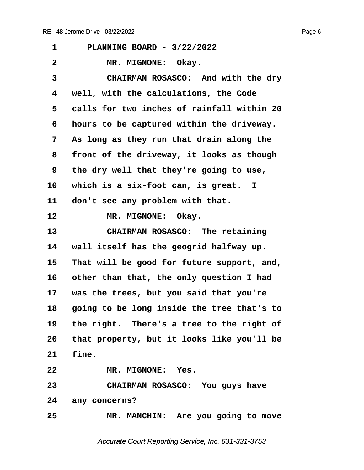<span id="page-6-0"></span>

| 1            | PLANNING BOARD - 3/22/2022                    |
|--------------|-----------------------------------------------|
| $\mathbf{2}$ | MR. MIGNONE: Okay.                            |
| 3            | CHAIRMAN ROSASCO: And with the dry            |
| 4            | well, with the calculations, the Code         |
| 5            | calls for two inches of rainfall within 20    |
| 6            | hours to be captured within the driveway.     |
| 7            | As long as they run that drain along the      |
| 8            | front of the driveway, it looks as though     |
| 9            | the dry well that they're going to use,       |
| 10           | which is a six-foot can, is great. I          |
| 11           | don't see any problem with that.              |
| 12           | MR. MIGNONE: Okay.                            |
| 13           | CHAIRMAN ROSASCO: The retaining               |
| 14           | wall itself has the geogrid halfway up.       |
| 15           | That will be good for future support, and,    |
| 16           | other than that, the only question I had      |
| 17           | was the trees, but you said that you're       |
| 18           | going to be long inside the tree that's to    |
|              | 19 the right. There's a tree to the right of  |
|              | 20 that property, but it looks like you'll be |
| 21           | fine.                                         |
| 22           | MR. MIGNONE: Yes.                             |
| 23           | CHAIRMAN ROSASCO: You guys have               |
|              | 24 any concerns?                              |
| 25           | MR. MANCHIN: Are you going to move            |
|              |                                               |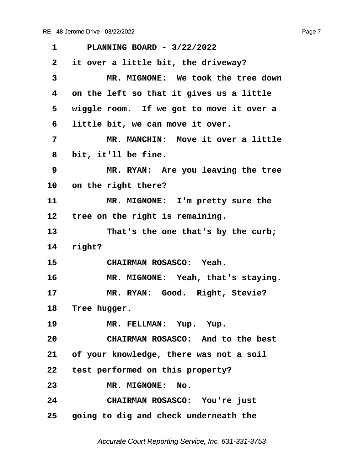<span id="page-7-0"></span>

| 1               | PLANNING BOARD - 3/22/2022                 |
|-----------------|--------------------------------------------|
| $\mathbf{2}$    | it over a little bit, the driveway?        |
| 3               | MR. MIGNONE: We took the tree down         |
| 4               | on the left so that it gives us a little   |
| 5               | wiggle room. If we got to move it over a   |
| 6               | little bit, we can move it over.           |
| 7               | MR. MANCHIN: Move it over a little         |
| 8               | bit, it'll be fine.                        |
| 9               | MR. RYAN: Are you leaving the tree         |
| 10 <sub>1</sub> | on the right there?                        |
| 11              | MR. MIGNONE: I'm pretty sure the           |
| $12 \,$         | tree on the right is remaining.            |
| 13              | That's the one that's by the curb;         |
| 14              | right?                                     |
| 15              | CHAIRMAN ROSASCO: Yeah.                    |
| 16              | MR. MIGNONE: Yeah, that's staying.         |
| 17              | MR. RYAN: Good. Right, Stevie?             |
| 18              | Tree hugger.                               |
| 19              | MR. FELLMAN: Yup. Yup.                     |
| 20              | CHAIRMAN ROSASCO: And to the best          |
|                 | 21 of your knowledge, there was not a soil |
|                 | 22 test performed on this property?        |
| 23              | MR. MIGNONE: No.                           |
| 24              | CHAIRMAN ROSASCO: You're just              |
|                 | 25 going to dig and check underneath the   |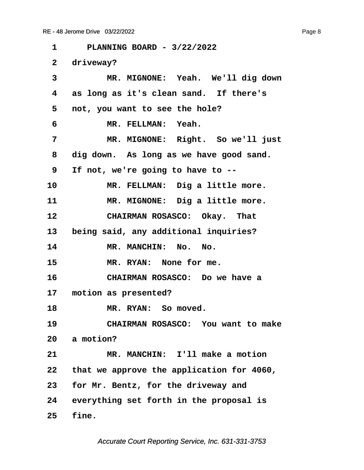<span id="page-8-0"></span>**·1· · · PLANNING BOARD - 3/22/2022** 2 driveway? 3 MR. MIGNONE: Yeah. We'll dig down **·4· ·as long as it's clean sand.· If there's ·5· ·not, you want to see the hole?**  $\begin{array}{ccc} 6 & \text{MR. FELLMAN:} & \text{Yeah.} \end{array}$ **·7· · · · · MR. MIGNONE:· Right.· So we'll just ·8· ·dig down.· As long as we have good sand. ·9· ·If not, we're going to have to --** 10 MR. FELLMAN: Dig a little more. 11 MR. MIGNONE: Dig a little more. 12 **CHAIRMAN ROSASCO:** Okay. That 13 being said, any additional inquiries? 14 MR. MANCHIN: No. No. 15 MR. RYAN: None for me. **16· · · · · CHAIRMAN ROSASCO:· Do we have a** 17 motion as presented? 18 **MR. RYAN:** So moved. **19· · · · · CHAIRMAN ROSASCO:· You want to make** 20 a motion? **21· · · · · MR. MANCHIN:· I'll make a motion 22· ·that we approve the application for 4060, 23· ·for Mr. Bentz, for the driveway and 24· ·everything set forth in the proposal is 25· ·fine.**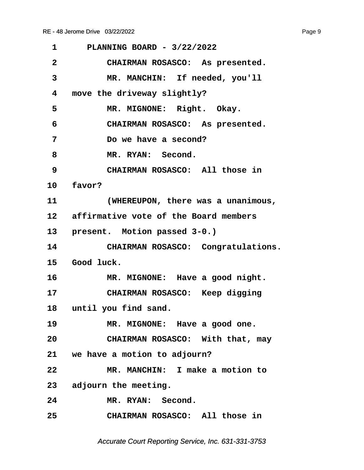<span id="page-9-0"></span>

| 1            | PLANNING BOARD - 3/22/2022               |
|--------------|------------------------------------------|
| $\mathbf{2}$ | CHAIRMAN ROSASCO: As presented.          |
| 3            | MR. MANCHIN: If needed, you'll           |
| 4            | move the driveway slightly?              |
| 5            | MR. MIGNONE: Right. Okay.                |
| 6            | CHAIRMAN ROSASCO: As presented.          |
| 7            | Do we have a second?                     |
| 8            | MR. RYAN: Second.                        |
| 9            | CHAIRMAN ROSASCO: All those in           |
|              | 10 favor?                                |
| 11           | (WHEREUPON, there was a unanimous,       |
|              | 12 affirmative vote of the Board members |
|              | 13 present. Motion passed 3-0.)          |
| 14           | CHAIRMAN ROSASCO: Congratulations.       |
|              | 15 Good luck.                            |
| 16           | MR. MIGNONE: Have a good night.          |
| 17           | CHAIRMAN ROSASCO: Keep digging           |
| 18           | until you find sand.                     |
| 19           | MR. MIGNONE: Have a good one.            |
| 20           | CHAIRMAN ROSASCO: With that, may         |
|              | 21 we have a motion to adjourn?          |
| 22           | MR. MANCHIN: I make a motion to          |
|              | 23 adjourn the meeting.                  |
| 24           | MR. RYAN: Second.                        |
| 25           | CHAIRMAN ROSASCO: All those in           |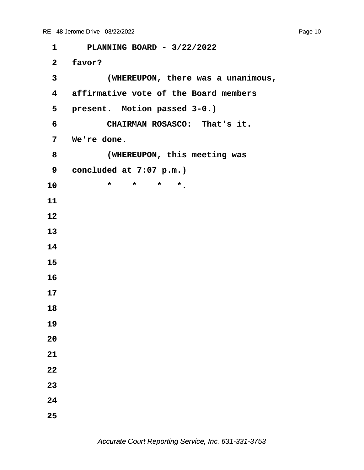| $\mathbf 1$             | PLANNING BOARD - 3/22/2022            |
|-------------------------|---------------------------------------|
| 2 <sup>7</sup>          | favor?                                |
| 3                       | (WHEREUPON, there was a unanimous,    |
| $\overline{\mathbf{4}}$ | affirmative vote of the Board members |
| 5                       | present. Motion passed 3-0.)          |
| 6                       | CHAIRMAN ROSASCO: That's it.          |
| $7\phantom{.}$          | We're done.                           |
| 8                       | (WHEREUPON, this meeting was          |
| 9                       | concluded at 7:07 p.m.)               |
| 10                      | $\star$<br>$\star$<br>*<br>$\star$ .  |
| 11                      |                                       |
| 12                      |                                       |
| 13                      |                                       |
| 14                      |                                       |
| 15                      |                                       |
| 16                      |                                       |
| 17                      |                                       |
| 18                      |                                       |
| 19                      |                                       |
| 20                      |                                       |
| 21                      |                                       |
| 22                      |                                       |
| 23                      |                                       |

- **24**
- **25**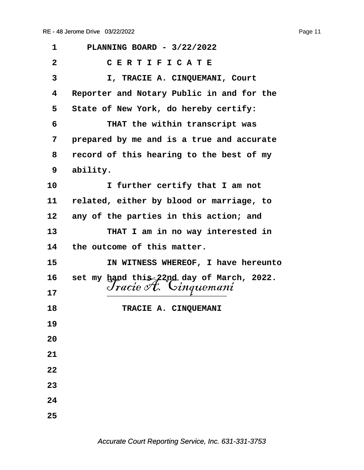| 1            | PLANNING BOARD - 3/22/2022                |
|--------------|-------------------------------------------|
| $\mathbf{2}$ | CERTIFICATE                               |
| 3            | I, TRACIE A. CINQUEMANI, Court            |
| 4            | Reporter and Notary Public in and for the |
| 5            | State of New York, do hereby certify:     |
| 6            | THAT the within transcript was            |
| 7            | prepared by me and is a true and accurate |
| 8            | record of this hearing to the best of my  |
| 9            | ability.                                  |
| 10           | I further certify that I am not           |
| 11           | related, either by blood or marriage, to  |
| 12           | any of the parties in this action; and    |
| 13           | THAT I am in no way interested in         |
| 14           | the outcome of this matter.               |
| 15           | IN WITNESS WHEREOF, I have hereunto       |
| 16           | set my hand this 22nd day of March, 2022. |
| 17           | Jracie <i>I</i> t. Cinquemani             |
| 18           | TRACIE A. CINQUEMANI                      |
| 19           |                                           |
| 20           |                                           |
| 21           |                                           |
| 22           |                                           |
| 23           |                                           |
| 24           |                                           |
| 25           |                                           |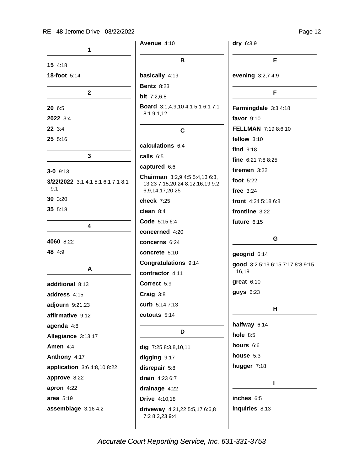|                                   | Avenue $4:10$                                                             | dry 6:3,9                         |
|-----------------------------------|---------------------------------------------------------------------------|-----------------------------------|
| 1                                 | B                                                                         | Е                                 |
| 15 4:18<br>18-foot 5:14           | basically 4:19                                                            | evening 3:2,7 4:9                 |
|                                   | <b>Bentz 8:23</b>                                                         |                                   |
| $\mathbf{2}$                      | <b>bit</b> $7:2,6,8$                                                      | F                                 |
| 20 6:5                            | Board 3:1,4,9,10 4:1 5:1 6:1 7:1<br>8:1 9:1,12                            | Farmingdale 3:3 4:18              |
| 2022 3:4                          |                                                                           | favor $9:10$                      |
| 22 3:4                            | C                                                                         | FELLMAN 7:19 8:6,10               |
| 255:16                            |                                                                           | fellow $3:10$                     |
|                                   | calculations 6:4                                                          | find $9:18$                       |
| $\mathbf{3}$                      | calls 6:5                                                                 | fine $6:217:88:25$                |
| $3 - 0$ 9:13                      | captured 6:6                                                              | firemen $3:22$                    |
| 3/22/2022 3:1 4:1 5:1 6:1 7:1 8:1 | <b>Chairman</b> 3:2,9 4:5 5:4,13 6:3,<br>13,23 7:15,20,24 8:12,16,19 9:2, | foot $5:22$                       |
| 9:1                               | 6,9,14,17,20,25                                                           | free $3:24$                       |
| 30 3:20                           | check 7:25                                                                | front 4:24 5:18 6:8               |
| 355:18                            | clean $8:4$                                                               | frontline 3:22                    |
|                                   | Code 5:15 6:4                                                             | future $6:15$                     |
| 4                                 | concerned 4:20                                                            |                                   |
| 4060 8:22                         | concerns 6:24                                                             | G                                 |
| 48 4:9                            | concrete 5:10                                                             | geogrid 6:14                      |
|                                   | Congratulations 9:14                                                      | good 3:2 5:19 6:15 7:17 8:8 9:15, |
| A                                 | contractor 4:11                                                           | 16,19                             |
| additional 8:13                   | Correct 5:9                                                               | $great 6:10$                      |
| address 4:15                      | Craig 3:8                                                                 | <b>guys</b> 6:23                  |
| adjourn 9:21,23                   | curb 5:14 7:13                                                            | н                                 |
| affirmative 9:12                  | cutouts 5:14                                                              |                                   |
| agenda 4:8                        |                                                                           | halfway 6:14                      |
| Allegiance 3:13,17                | D                                                                         | hole $8:5$                        |
| Amen 4:4                          | dig 7:25 8:3,8,10,11                                                      | hours 6:6                         |
| Anthony 4:17                      | digging 9:17                                                              | house 5:3                         |
| application 3:6 4:8,10 8:22       | disrepair 5:8                                                             | hugger 7:18                       |
| approve 8:22                      | drain $4:236:7$                                                           |                                   |
| apron $4:22$                      | drainage 4:22                                                             |                                   |
| area 5:19                         | <b>Drive</b> 4:10,18                                                      | inches 6:5                        |
| assemblage 3:16 4:2               | driveway 4:21,22 5:5,17 6:6,8<br>7:2 8:2,23 9:4                           | inquiries 8:13                    |
|                                   |                                                                           |                                   |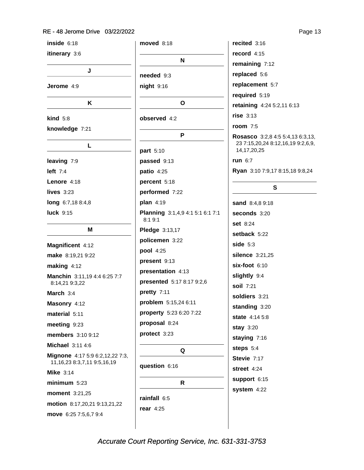#### RE - 48 Jerome Drive 03/22/2022

inside  $6:18$ itinerary 3:6 J Jerome 4:9 K  $\mathbf{kind}$  5:8 knowledge 7:21 L leaving 7:9 left  $7:4$ Lenore 4:18 lives  $3:23$ long 6:7,18 8:4,8 luck 9:15 M Magnificent 4:12 make 8:19,21 9:22 making  $4:12$ Manchin 3:11,19 4:4 6:25 7:7 8:14,21 9:3,22 March 3:4 Masonry 4:12 material 5:11 meeting 9:23 members 3:10 9:12 Michael 3:11 4:6 Mignone 4:17 5:9 6:2,12,22 7:3, 11, 16, 23 8: 3, 7, 11 9: 5, 16, 19 Mike  $3:14$  $minimum 5:23$ moment 3:21.25 motion 8:17,20,21 9:13,21,22 move 6:25 7:5,6,7 9:4

**moved** 8:18  $\mathbf N$ needed 9:3  $night$  9:16  $\mathbf{o}$ observed 4:2 P part 5:10 passed 9:13 **patio**  $4:25$ percent 5:18 performed 7:22 plan 4:19 Planning 3:1,4,9 4:1 5:1 6:1 7:1  $8:19:1$ Pledge 3:13,17 policemen 3:22 pool 4:25 present 9:13 presentation 4:13 presented 5:17 8:17 9:2,6 pretty 7:11 problem 5:15,24 6:11 property 5:23 6:20 7:22 proposal 8:24 protect 3:23 Q question 6:16  $\mathsf{R}$ rainfall 6:5 rear  $4:25$ 

record  $4:15$ remaining 7:12 replaced 5:6 replacement 5:7 required 5:19 retaining 4:24 5:2,11 6:13 rise  $3:13$ room  $7:5$ Rosasco 3:2,8 4:5 5:4,13 6:3,13, 23 7:15,20,24 8:12,16,19 9:2,6,9, 14, 17, 20, 25 **run** 6:7 Ryan 3:10 7:9,17 8:15,18 9:8,24

recited  $3:16$ 

### S

sand 8:4,8 9:18 seconds 3:20 set 8:24 setback 5:22 side  $5:3$ silence 3:21,25  $six$ -foot  $6:10$ slightly 9:4 soil 7:21 soldiers 3:21 standing 3:20 state 4:14 5:8 **stay 3:20** staying 7:16 steps 5:4 Stevie 7:17 street 4:24 support 6:15 system 4:22

Page 13